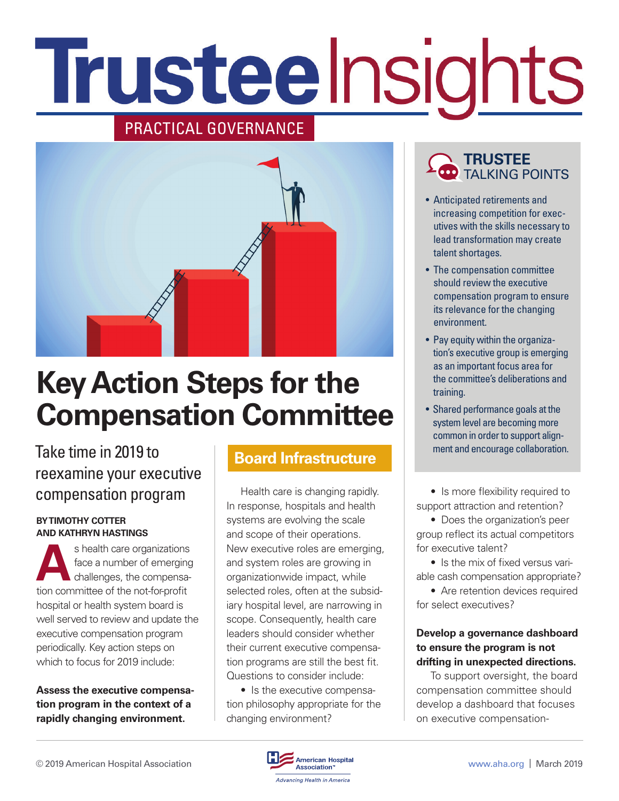# Trusteelnsights

## PRACTICAL GOVERNANCE



# **Key Action Steps for the Compensation Committee**

## Take time in 2019 to reexamine your executive compensation program

#### **BY TIMOTHY COTTER AND KATHRYN HASTINGS**

s health care organizations<br>face a number of emerging<br>challenges, the compensa-<br>tion committee of the not formedit face a number of emerging challenges, the compensation committee of the not-for-profit hospital or health system board is well served to review and update the executive compensation program periodically. Key action steps on which to focus for 2019 include:

**Assess the executive compensation program in the context of a rapidly changing environment.** 

## **Board Infrastructure**

Health care is changing rapidly. In response, hospitals and health systems are evolving the scale and scope of their operations. New executive roles are emerging, and system roles are growing in organizationwide impact, while selected roles, often at the subsidiary hospital level, are narrowing in scope. Consequently, health care leaders should consider whether their current executive compensation programs are still the best fit. Questions to consider include:

• Is the executive compensation philosophy appropriate for the changing environment?

## **TRUSTEE** TALKING POINTS

- Anticipated retirements and increasing competition for executives with the skills necessary to lead transformation may create talent shortages.
- The compensation committee should review the executive compensation program to ensure its relevance for the changing environment.
- Pay equity within the organization's executive group is emerging as an important focus area for the committee's deliberations and training.
- Shared performance goals at the system level are becoming more common in order to support alignment and encourage collaboration.

• Is more flexibility required to support attraction and retention?

• Does the organization's peer group reflect its actual competitors for executive talent?

• Is the mix of fixed versus variable cash compensation appropriate?

• Are retention devices required for select executives?

## **Develop a governance dashboard to ensure the program is not drifting in unexpected directions.**

To support oversight, the board compensation committee should develop a dashboard that focuses on executive compensation-

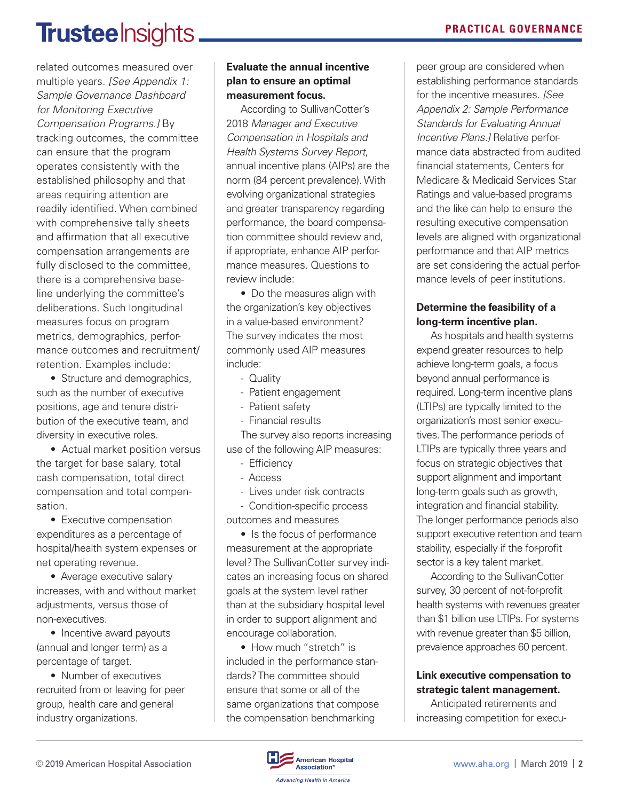# **Trustee** Insights.

related outcomes measured over multiple years. *[See Appendix 1: Sample Governance Dashboard for Monitoring Executive Compensation Programs.]* By tracking outcomes, the committee can ensure that the program operates consistently with the established philosophy and that areas requiring attention are readily identified. When combined with comprehensive tally sheets and affirmation that all executive compensation arrangements are fully disclosed to the committee, there is a comprehensive baseline underlying the committee's deliberations. Such longitudinal measures focus on program metrics, demographics, performance outcomes and recruitment/ retention. Examples include:

• Structure and demographics, such as the number of executive positions, age and tenure distribution of the executive team, and diversity in executive roles.

• Actual market position versus the target for base salary, total cash compensation, total direct compensation and total compensation.

• Executive compensation expenditures as a percentage of hospital/health system expenses or net operating revenue.

• Average executive salary increases, with and without market adjustments, versus those of non-executives.

• Incentive award payouts (annual and longer term) as a percentage of target.

• Number of executives recruited from or leaving for peer group, health care and general industry organizations.

## **Evaluate the annual incentive plan to ensure an optimal measurement focus.**

According to SullivanCotter's 2018 *Manager and Executive Compensation in Hospitals and Health Systems Survey Report*, annual incentive plans (AIPs) are the norm (84 percent prevalence). With evolving organizational strategies and greater transparency regarding performance, the board compensation committee should review and, if appropriate, enhance AIP performance measures. Questions to review include:

• Do the measures align with the organization's key objectives in a value-based environment? The survey indicates the most commonly used AIP measures include:

- Quality
- Patient engagement
- Patient safety
- Financial results

The survey also reports increasing use of the following AIP measures:

- Efficiency
- Access
- Lives under risk contracts

- Condition-specific process outcomes and measures

• Is the focus of performance measurement at the appropriate level? The SullivanCotter survey indicates an increasing focus on shared goals at the system level rather than at the subsidiary hospital level in order to support alignment and encourage collaboration.

• How much "stretch" is included in the performance standards? The committee should ensure that some or all of the same organizations that compose the compensation benchmarking

peer group are considered when establishing performance standards for the incentive measures. *[See Appendix 2: Sample Performance Standards for Evaluating Annual Incentive Plans.]* Relative performance data abstracted from audited financial statements, Centers for Medicare & Medicaid Services Star Ratings and value-based programs and the like can help to ensure the resulting executive compensation levels are aligned with organizational performance and that AIP metrics are set considering the actual performance levels of peer institutions.

## **Determine the feasibility of a long-term incentive plan.**

As hospitals and health systems expend greater resources to help achieve long-term goals, a focus beyond annual performance is required. Long-term incentive plans (LTIPs) are typically limited to the organization's most senior executives. The performance periods of LTIPs are typically three years and focus on strategic objectives that support alignment and important long-term goals such as growth, integration and financial stability. The longer performance periods also support executive retention and team stability, especially if the for-profit sector is a key talent market.

According to the SullivanCotter survey, 30 percent of not-for-profit health systems with revenues greater than \$1 billion use LTIPs. For systems with revenue greater than \$5 billion, prevalence approaches 60 percent.

## **Link executive compensation to strategic talent management.**

Anticipated retirements and increasing competition for execu-

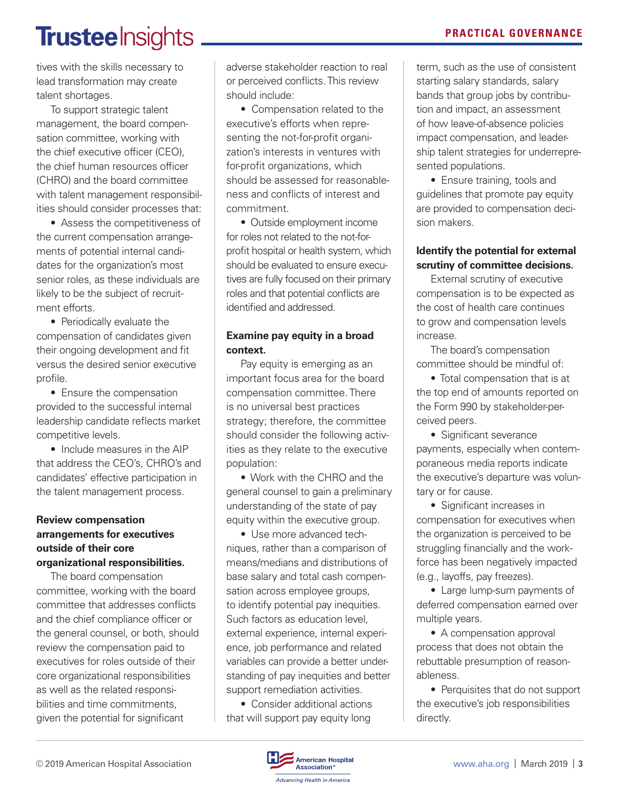### **PRACTICAL GOVERNANCE**

# Trustee Insights.

tives with the skills necessary to lead transformation may create talent shortages.

To support strategic talent management, the board compensation committee, working with the chief executive officer (CEO), the chief human resources officer (CHRO) and the board committee with talent management responsibilities should consider processes that:

• Assess the competitiveness of the current compensation arrangements of potential internal candidates for the organization's most senior roles, as these individuals are likely to be the subject of recruitment efforts.

• Periodically evaluate the compensation of candidates given their ongoing development and fit versus the desired senior executive profile.

• Ensure the compensation provided to the successful internal leadership candidate reflects market competitive levels.

• Include measures in the AIP that address the CEO's, CHRO's and candidates' effective participation in the talent management process.

#### **Review compensation arrangements for executives outside of their core organizational responsibilities.**

The board compensation committee, working with the board committee that addresses conflicts and the chief compliance officer or the general counsel, or both, should review the compensation paid to executives for roles outside of their core organizational responsibilities as well as the related responsibilities and time commitments, given the potential for significant

adverse stakeholder reaction to real or perceived conflicts. This review should include:

• Compensation related to the executive's efforts when representing the not-for-profit organization's interests in ventures with for-profit organizations, which should be assessed for reasonableness and conflicts of interest and commitment.

• Outside employment income for roles not related to the not-forprofit hospital or health system, which should be evaluated to ensure executives are fully focused on their primary roles and that potential conflicts are identified and addressed.

#### **Examine pay equity in a broad context.**

Pay equity is emerging as an important focus area for the board compensation committee. There is no universal best practices strategy; therefore, the committee should consider the following activities as they relate to the executive population:

• Work with the CHRO and the general counsel to gain a preliminary understanding of the state of pay equity within the executive group.

• Use more advanced techniques, rather than a comparison of means/medians and distributions of base salary and total cash compensation across employee groups, to identify potential pay inequities. Such factors as education level, external experience, internal experience, job performance and related variables can provide a better understanding of pay inequities and better support remediation activities.

• Consider additional actions that will support pay equity long

term, such as the use of consistent starting salary standards, salary bands that group jobs by contribution and impact, an assessment of how leave-of-absence policies impact compensation, and leadership talent strategies for underrepresented populations.

• Ensure training, tools and guidelines that promote pay equity are provided to compensation decision makers.

#### **Identify the potential for external scrutiny of committee decisions.**

External scrutiny of executive compensation is to be expected as the cost of health care continues to grow and compensation levels increase.

The board's compensation committee should be mindful of:

• Total compensation that is at the top end of amounts reported on the Form 990 by stakeholder-perceived peers.

• Significant severance payments, especially when contemporaneous media reports indicate the executive's departure was voluntary or for cause.

• Significant increases in compensation for executives when the organization is perceived to be struggling financially and the workforce has been negatively impacted (e.g., layoffs, pay freezes).

• Large lump-sum payments of deferred compensation earned over multiple years.

• A compensation approval process that does not obtain the rebuttable presumption of reasonableness.

• Perquisites that do not support the executive's job responsibilities directly.

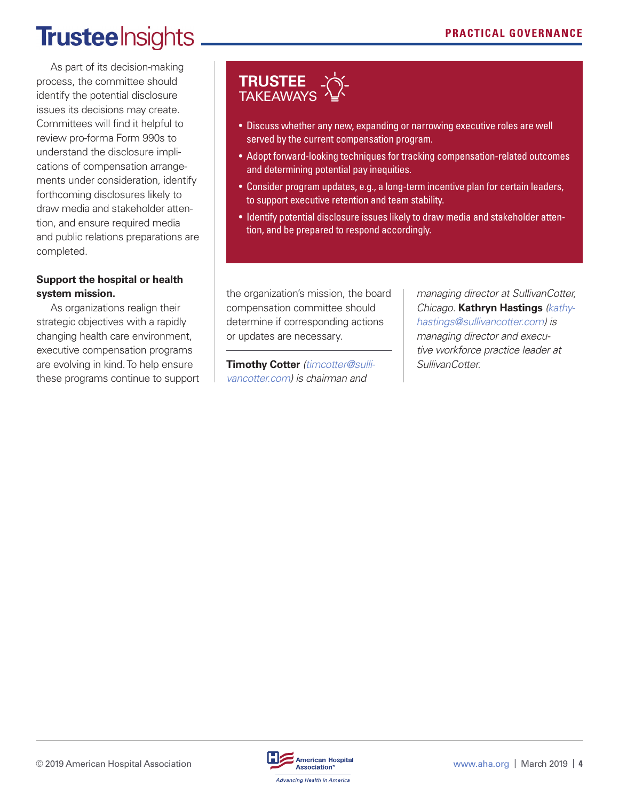## **Trustee** Insights

As part of its decision-making process, the committee should identify the potential disclosure issues its decisions may create. Committees will find it helpful to review pro-forma Form 990s to understand the disclosure implications of compensation arrangements under consideration, identify forthcoming disclosures likely to draw media and stakeholder attention, and ensure required media and public relations preparations are completed.

### **Support the hospital or health system mission.**

As organizations realign their strategic objectives with a rapidly changing health care environment, executive compensation programs are evolving in kind. To help ensure these programs continue to support

## **TRUSTEE** TAKEAWAYS

- Discuss whether any new, expanding or narrowing executive roles are well served by the current compensation program.
- Adopt forward-looking techniques for tracking compensation-related outcomes and determining potential pay inequities.
- Consider program updates, e.g., a long-term incentive plan for certain leaders, to support executive retention and team stability.
- Identify potential disclosure issues likely to draw media and stakeholder attention, and be prepared to respond accordingly.

the organization's mission, the board compensation committee should determine if corresponding actions or updates are necessary.

**Timothy Cotter** *(timcotter@sullivancotter.com) is chairman and* 

*managing director at SullivanCotter, Chicago.* **Kathryn Hastings** *(kathyhastings@sullivancotter.com) is managing director and executive workforce practice leader at SullivanCotter.*

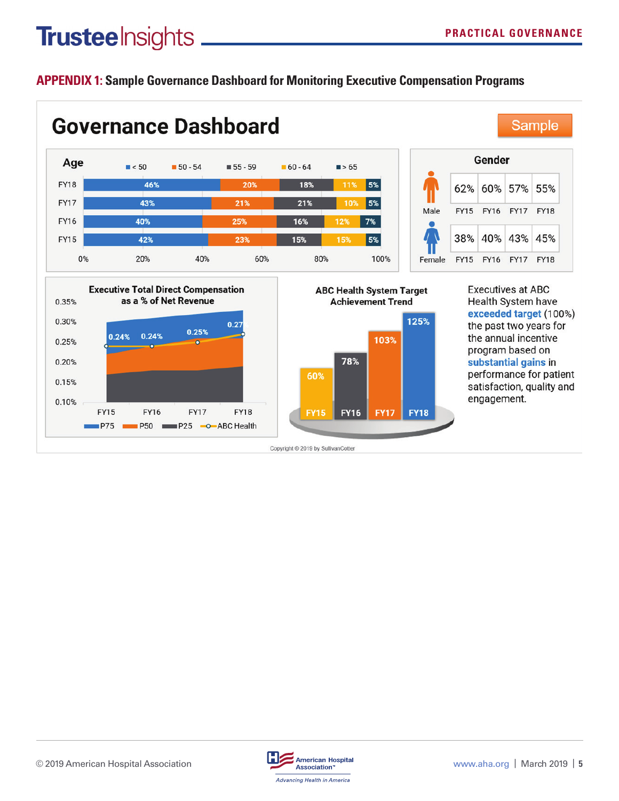## Trusteelnsights \_

## **APPENDIX 1: Sample Governance Dashboard for Monitoring Executive Compensation Programs**